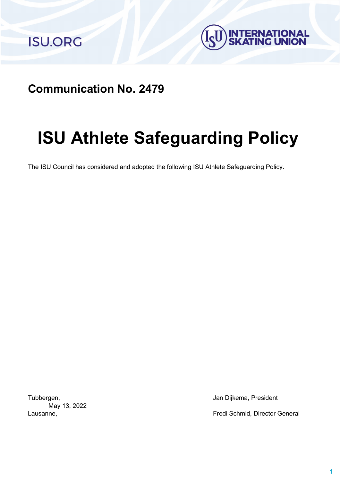



**Communication No. 2479**

# **ISU Athlete Safeguarding Policy**

The ISU Council has considered and adopted the following ISU Athlete Safeguarding Policy.

May 13, 2022

Tubbergen, **Jan Dijkema, President** 

Lausanne, Fredi Schmid, Director General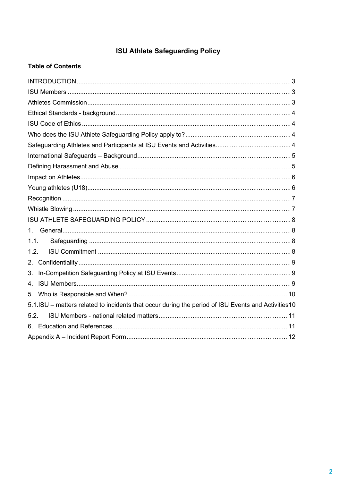# **ISU Athlete Safeguarding Policy**

# **Table of Contents**

| 1.                                                                                                 |  |
|----------------------------------------------------------------------------------------------------|--|
| 1.1.                                                                                               |  |
| 1.2.                                                                                               |  |
| 2.                                                                                                 |  |
| 3.                                                                                                 |  |
| 4.                                                                                                 |  |
| 5.                                                                                                 |  |
| 5.1.ISU - matters related to incidents that occur during the period of ISU Events and Activities10 |  |
| 5.2.                                                                                               |  |
|                                                                                                    |  |
|                                                                                                    |  |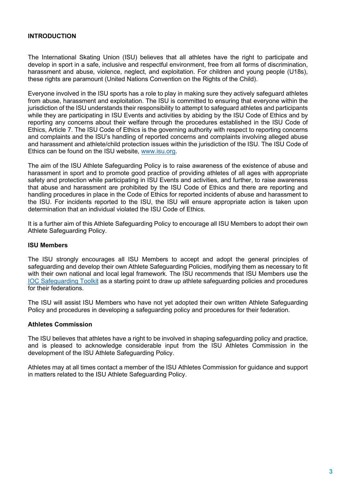# <span id="page-2-0"></span>**INTRODUCTION**

The International Skating Union (ISU) believes that all athletes have the right to participate and develop in sport in a safe, inclusive and respectful environment, free from all forms of discrimination, harassment and abuse, violence, neglect, and exploitation. For children and young people (U18s), these rights are paramount (United Nations Convention on the Rights of the Child).

Everyone involved in the ISU sports has a role to play in making sure they actively safeguard athletes from abuse, harassment and exploitation. The ISU is committed to ensuring that everyone within the jurisdiction of the ISU understands their responsibility to attempt to safeguard athletes and participants while they are participating in ISU Events and activities by abiding by the ISU Code of Ethics and by reporting any concerns about their welfare through the procedures established in the ISU Code of Ethics, Article 7. The ISU Code of Ethics is the governing authority with respect to reporting concerns and complaints and the ISU's handling of reported concerns and complaints involving alleged abuse and harassment and athlete/child protection issues within the jurisdiction of the ISU. The ISU Code of Ethics can be found on the ISU website, [www.isu.org.](http://www.isu.org/)

The aim of the ISU Athlete Safeguarding Policy is to raise awareness of the existence of abuse and harassment in sport and to promote good practice of providing athletes of all ages with appropriate safety and protection while participating in ISU Events and activities, and further, to raise awareness that abuse and harassment are prohibited by the ISU Code of Ethics and there are reporting and handling procedures in place in the Code of Ethics for reported incidents of abuse and harassment to the ISU. For incidents reported to the ISU, the ISU will ensure appropriate action is taken upon determination that an individual violated the ISU Code of Ethics.

It is a further aim of this Athlete Safeguarding Policy to encourage all ISU Members to adopt their own Athlete Safeguarding Policy.

#### <span id="page-2-1"></span>**ISU Members**

The ISU strongly encourages all ISU Members to accept and adopt the general principles of safeguarding and develop their own Athlete Safeguarding Policies, modifying them as necessary to fit with their own national and local legal framework. The ISU recommends that ISU Members use the IOC [Safeguarding Toolkit](https://olympics.com/athlete365?attachment_id=39323) as a starting point to draw up athlete safeguarding policies and procedures for their federations.

The ISU will assist ISU Members who have not yet adopted their own written Athlete Safeguarding Policy and procedures in developing a safeguarding policy and procedures for their federation.

#### <span id="page-2-2"></span>**Athletes Commission**

The ISU believes that athletes have a right to be involved in shaping safeguarding policy and practice, and is pleased to acknowledge considerable input from the ISU Athletes Commission in the development of the ISU Athlete Safeguarding Policy.

Athletes may at all times contact a member of the ISU Athletes Commission for guidance and support in matters related to the ISU Athlete Safeguarding Policy.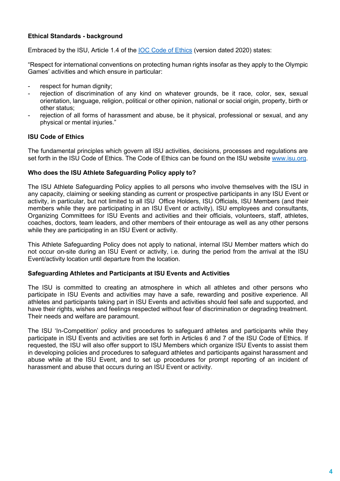# <span id="page-3-0"></span>**Ethical Standards - background**

Embraced by the ISU, Article 1.4 of the [IOC Code of Ethics](https://olympics.com/ioc/code-of-ethics) (version dated 2020) states:

"Respect for international conventions on protecting human rights insofar as they apply to the Olympic Games' activities and which ensure in particular:

- respect for human dignity;
- rejection of discrimination of any kind on whatever grounds, be it race, color, sex, sexual orientation, language, religion, political or other opinion, national or social origin, property, birth or other status;
- rejection of all forms of harassment and abuse, be it physical, professional or sexual, and any physical or mental injuries."

#### <span id="page-3-1"></span>**ISU Code of Ethics**

The fundamental principles which govern all ISU activities, decisions, processes and regulations are set forth in the ISU Code of Ethics. The Code of Ethics can be found on the ISU website [www.isu.org.](http://www.isu.org/)

#### <span id="page-3-2"></span>**Who does the ISU Athlete Safeguarding Policy apply to?**

The ISU Athlete Safeguarding Policy applies to all persons who involve themselves with the ISU in any capacity, claiming or seeking standing as current or prospective participants in any ISU Event or activity, in particular, but not limited to all ISU Office Holders, ISU Officials, ISU Members (and their members while they are participating in an ISU Event or activity), ISU employees and consultants, Organizing Committees for ISU Events and activities and their officials, volunteers, staff, athletes, coaches, doctors, team leaders, and other members of their entourage as well as any other persons while they are participating in an ISU Event or activity.

This Athlete Safeguarding Policy does not apply to national, internal ISU Member matters which do not occur on-site during an ISU Event or activity, i.e. during the period from the arrival at the ISU Event/activity location until departure from the location.

# <span id="page-3-3"></span>**Safeguarding Athletes and Participants at ISU Events and Activities**

The ISU is committed to creating an atmosphere in which all athletes and other persons who participate in ISU Events and activities may have a safe, rewarding and positive experience. All athletes and participants taking part in ISU Events and activities should feel safe and supported, and have their rights, wishes and feelings respected without fear of discrimination or degrading treatment. Their needs and welfare are paramount.

The ISU 'In-Competition' policy and procedures to safeguard athletes and participants while they participate in ISU Events and activities are set forth in Articles 6 and 7 of the ISU Code of Ethics. If requested, the ISU will also offer support to ISU Members which organize ISU Events to assist them in developing policies and procedures to safeguard athletes and participants against harassment and abuse while at the ISU Event, and to set up procedures for prompt reporting of an incident of harassment and abuse that occurs during an ISU Event or activity.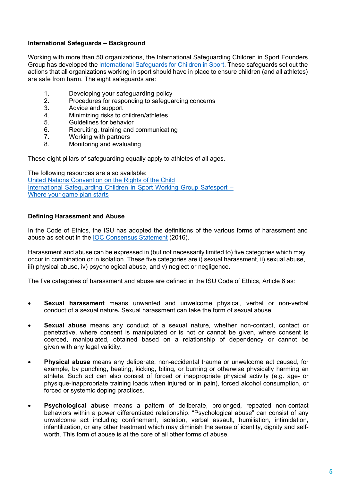# <span id="page-4-0"></span>**International Safeguards – Background**

Working with more than 50 organizations, the International Safeguarding Children in Sport Founders Group has developed th[e International Safeguards for Children in Sport.](https://www.sportanddev.org/en/toolkit/child-protection-and-safeguarding/international-safeguards-children-sport) These safeguards set out the actions that all organizations working in sport should have in place to ensure children (and all athletes) are safe from harm. The eight safeguards are:

- 1. Developing your safeguarding policy<br>2. Procedures for responding to safegua
- 2. Procedures for responding to safeguarding concerns<br>3. Advice and support
- 3. Advice and support<br>4. Minimizing risks to d
- 4. Minimizing risks to children/athletes<br>5. Guidelines for behavior
- 5. Guidelines for behavior<br>6. Recruiting, training and
- 6. Recruiting, training and communicating<br>7. Working with partners
- 7. Working with partners<br>8. Monitoring and evalua
- Monitoring and evaluating

These eight pillars of safeguarding equally apply to athletes of all ages.

The following resources are also available: [United Nations Convention on the Rights of the Child](https://www.ohchr.org/en/professionalinterest/pages/crc.aspx) [International Safeguarding Children in Sport Working Group Safesport –](https://www.sportanddev.org/en/toolkit/child-protection-and-safeguarding/international-safeguards-children-sport)  [Where your game plan starts](https://www.sportanddev.org/en/toolkit/child-protection-and-safeguarding/international-safeguards-children-sport)

#### <span id="page-4-1"></span>**Defining Harassment and Abuse**

In the Code of Ethics, the ISU has adopted the definitions of the various forms of harassment and abuse as set out in the [IOC Consensus Statement](http://bjsm.bmj.com/content/50/17/1019) (2016).

Harassment and abuse can be expressed in (but not necessarily limited to) five categories which may occur in combination or in isolation. These five categories are i) sexual harassment, ii) sexual abuse, iii) physical abuse, iv) psychological abuse, and v) neglect or negligence.

The five categories of harassment and abuse are defined in the ISU Code of Ethics, Article 6 as:

- **Sexual harassment** means unwanted and unwelcome physical, verbal or non-verbal conduct of a sexual nature**.** Sexual harassment can take the form of sexual abuse.
- **Sexual abuse** means any conduct of a sexual nature, whether non-contact, contact or penetrative, where consent is manipulated or is not or cannot be given, where consent is coerced, manipulated, obtained based on a relationship of dependency or cannot be given with any legal validity.
- **Physical abuse** means any deliberate, non-accidental trauma or unwelcome act caused, for example, by punching, beating, kicking, biting, or burning or otherwise physically harming an athlete. Such act can also consist of forced or inappropriate physical activity (e.g. age- or physique-inappropriate training loads when injured or in pain), forced alcohol consumption, or forced or systemic doping practices.
- **Psychological abuse** means a pattern of deliberate, prolonged, repeated non-contact behaviors within a power differentiated relationship. "Psychological abuse" can consist of any unwelcome act including confinement, isolation, verbal assault, humiliation, intimidation, infantilization, or any other treatment which may diminish the sense of identity, dignity and selfworth. This form of abuse is at the core of all other forms of abuse.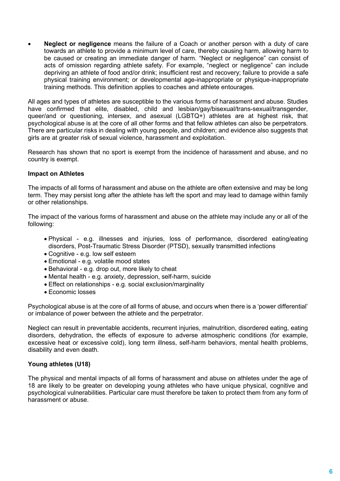• **Neglect or negligence** means the failure of a Coach or another person with a duty of care towards an athlete to provide a minimum level of care, thereby causing harm, allowing harm to be caused or creating an immediate danger of harm. "Neglect or negligence" can consist of acts of omission regarding athlete safety. For example, "neglect or negligence" can include depriving an athlete of food and/or drink; insufficient rest and recovery; failure to provide a safe physical training environment; or developmental age-inappropriate or physique-inappropriate training methods. This definition applies to coaches and athlete entourages.

All ages and types of athletes are susceptible to the various forms of harassment and abuse. Studies have confirmed that elite, disabled, child and lesbian/gay/bisexual/trans-sexual/transgender, queer/and or questioning, intersex, and asexual (LGBTQ+) athletes are at highest risk, that psychological abuse is at the core of all other forms and that fellow athletes can also be perpetrators. There are particular risks in dealing with young people, and children; and evidence also suggests that girls are at greater risk of sexual violence, harassment and exploitation.

Research has shown that no sport is exempt from the incidence of harassment and abuse, and no country is exempt.

#### <span id="page-5-0"></span>**Impact on Athletes**

The impacts of all forms of harassment and abuse on the athlete are often extensive and may be long term. They may persist long after the athlete has left the sport and may lead to damage within family or other relationships.

The impact of the various forms of harassment and abuse on the athlete may include any or all of the following:

- Physical e.g. illnesses and injuries, loss of performance, disordered eating/eating disorders, Post-Traumatic Stress Disorder (PTSD), sexually transmitted infections
- Cognitive e.g. low self esteem
- Emotional e.g. volatile mood states
- Behavioral e.g. drop out, more likely to cheat
- Mental health e.g. anxiety, depression, self-harm, suicide
- Effect on relationships e.g. social exclusion/marginality
- Economic losses

Psychological abuse is at the core of all forms of abuse, and occurs when there is a 'power differential' or imbalance of power between the athlete and the perpetrator.

Neglect can result in preventable accidents, recurrent injuries, malnutrition, disordered eating, eating disorders, dehydration, the effects of exposure to adverse atmospheric conditions (for example, excessive heat or excessive cold), long term illness, self-harm behaviors, mental health problems, disability and even death.

# <span id="page-5-1"></span>**Young athletes (U18)**

<span id="page-5-2"></span>The physical and mental impacts of all forms of harassment and abuse on athletes under the age of 18 are likely to be greater on developing young athletes who have unique physical, cognitive and psychological vulnerabilities. Particular care must therefore be taken to protect them from any form of harassment or abuse.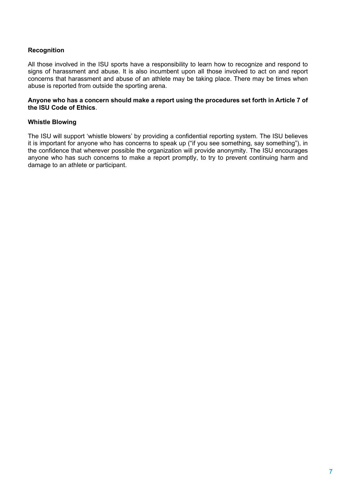# **Recognition**

All those involved in the ISU sports have a responsibility to learn how to recognize and respond to signs of harassment and abuse. It is also incumbent upon all those involved to act on and report concerns that harassment and abuse of an athlete may be taking place. There may be times when abuse is reported from outside the sporting arena.

#### **Anyone who has a concern should make a report using the procedures set forth in Article 7 of the ISU Code of Ethics**.

#### <span id="page-6-0"></span>**Whistle Blowing**

The ISU will support 'whistle blowers' by providing a confidential reporting system. The ISU believes it is important for anyone who has concerns to speak up ("if you see something, say something"), in the confidence that wherever possible the organization will provide anonymity. The ISU encourages anyone who has such concerns to make a report promptly, to try to prevent continuing harm and damage to an athlete or participant.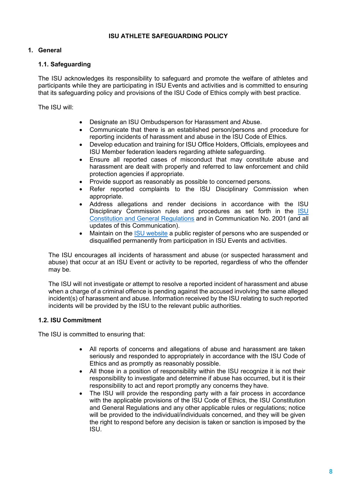# **ISU ATHLETE SAFEGUARDING POLICY**

# <span id="page-7-1"></span><span id="page-7-0"></span>**1. General**

#### <span id="page-7-2"></span>**1.1. Safeguarding**

The ISU acknowledges its responsibility to safeguard and promote the welfare of athletes and participants while they are participating in ISU Events and activities and is committed to ensuring that its safeguarding policy and provisions of the ISU Code of Ethics comply with best practice.

The ISU will:

- Designate an ISU Ombudsperson for Harassment and Abuse.
- Communicate that there is an established person/persons and procedure for reporting incidents of harassment and abuse in the ISU Code of Ethics.
- Develop education and training for ISU Office Holders, Officials, employees and ISU Member federation leaders regarding athlete safeguarding.
- Ensure all reported cases of misconduct that may constitute abuse and harassment are dealt with properly and referred to law enforcement and child protection agencies if appropriate.
- Provide support as reasonably as possible to concerned persons.
- Refer reported complaints to the ISU Disciplinary Commission when appropriate.
- Address allegations and render decisions in accordance with the ISU Disciplinary Commission rules and procedures as set forth in the [ISU](https://isu.org/inside-isu/rules-regulations/isu-statutes-constitution-regulations-technical)  [Constitution and General Regulations](https://isu.org/inside-isu/rules-regulations/isu-statutes-constitution-regulations-technical) and in Communication No. 2001 (and all updates of this Communication).
- Maintain on the **ISU website a public register of persons who are suspended or** disqualified permanently from participation in ISU Events and activities.

The ISU encourages all incidents of harassment and abuse (or suspected harassment and abuse) that occur at an ISU Event or activity to be reported, regardless of who the offender may be.

The ISU will not investigate or attempt to resolve a reported incident of harassment and abuse when a charge of a criminal offence is pending against the accused involving the same alleged incident(s) of harassment and abuse. Information received by the ISU relating to such reported incidents will be provided by the ISU to the relevant public authorities.

#### <span id="page-7-3"></span>**1.2. ISU Commitment**

The ISU is committed to ensuring that:

- All reports of concerns and allegations of abuse and harassment are taken seriously and responded to appropriately in accordance with the ISU Code of Ethics and as promptly as reasonably possible.
- All those in a position of responsibility within the ISU recognize it is not their responsibility to investigate and determine if abuse has occurred, but it is their responsibility to act and report promptly any concerns they have.
- The ISU will provide the responding party with a fair process in accordance with the applicable provisions of the ISU Code of Ethics, the ISU Constitution and General Regulations and any other applicable rules or regulations; notice will be provided to the individual/individuals concerned, and they will be given the right to respond before any decision is taken or sanction is imposed by the ISU.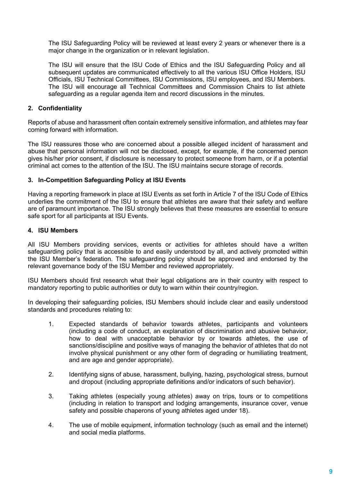The ISU Safeguarding Policy will be reviewed at least every 2 years or whenever there is a major change in the organization or in relevant legislation.

The ISU will ensure that the ISU Code of Ethics and the ISU Safeguarding Policy and all subsequent updates are communicated effectively to all the various ISU Office Holders, ISU Officials, ISU Technical Committees, ISU Commissions, ISU employees, and ISU Members. The ISU will encourage all Technical Committees and Commission Chairs to list athlete safeguarding as a regular agenda item and record discussions in the minutes.

# <span id="page-8-0"></span>**2. Confidentiality**

Reports of abuse and harassment often contain extremely sensitive information, and athletes may fear coming forward with information.

The ISU reassures those who are concerned about a possible alleged incident of harassment and abuse that personal information will not be disclosed, except, for example, if the concerned person gives his/her prior consent, if disclosure is necessary to protect someone from harm, or if a potential criminal act comes to the attention of the ISU. The ISU maintains secure storage of records.

#### <span id="page-8-1"></span>**3. In-Competition Safeguarding Policy at ISU Events**

Having a reporting framework in place at ISU Events as set forth in Article 7 of the ISU Code of Ethics underlies the commitment of the ISU to ensure that athletes are aware that their safety and welfare are of paramount importance. The ISU strongly believes that these measures are essential to ensure safe sport for all participants at ISU Events.

#### <span id="page-8-2"></span>**4. ISU Members**

All ISU Members providing services, events or activities for athletes should have a written safeguarding policy that is accessible to and easily understood by all, and actively promoted within the ISU Member's federation. The safeguarding policy should be approved and endorsed by the relevant governance body of the ISU Member and reviewed appropriately.

ISU Members should first research what their legal obligations are in their country with respect to mandatory reporting to public authorities or duty to warn within their country/region.

In developing their safeguarding policies, ISU Members should include clear and easily understood standards and procedures relating to:

- 1. Expected standards of behavior towards athletes, participants and volunteers (including a code of conduct, an explanation of discrimination and abusive behavior, how to deal with unacceptable behavior by or towards athletes, the use of sanctions/discipline and positive ways of managing the behavior of athletes that do not involve physical punishment or any other form of degrading or humiliating treatment, and are age and gender appropriate).
- 2. Identifying signs of abuse, harassment, bullying, hazing, psychological stress, burnout and dropout (including appropriate definitions and/or indicators of such behavior).
- 3. Taking athletes (especially young athletes) away on trips, tours or to competitions (including in relation to transport and lodging arrangements, insurance cover, venue safety and possible chaperons of young athletes aged under 18).
- 4. The use of mobile equipment, information technology (such as email and the internet) and social media platforms.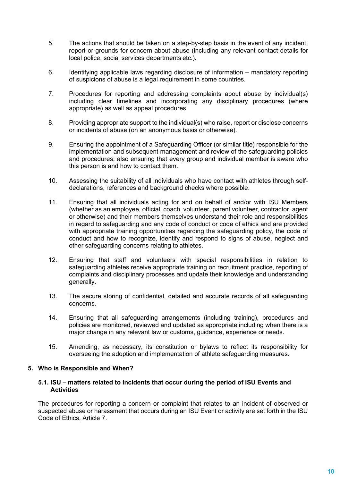- 5. The actions that should be taken on a step-by-step basis in the event of any incident, report or grounds for concern about abuse (including any relevant contact details for local police, social services departments etc.).
- 6. Identifying applicable laws regarding disclosure of information mandatory reporting of suspicions of abuse is a legal requirement in some countries.
- 7. Procedures for reporting and addressing complaints about abuse by individual(s) including clear timelines and incorporating any disciplinary procedures (where appropriate) as well as appeal procedures.
- 8. Providing appropriate support to the individual(s) who raise, report or disclose concerns or incidents of abuse (on an anonymous basis or otherwise).
- 9. Ensuring the appointment of a Safeguarding Officer (or similar title) responsible for the implementation and subsequent management and review of the safeguarding policies and procedures; also ensuring that every group and individual member is aware who this person is and how to contact them.
- 10. Assessing the suitability of all individuals who have contact with athletes through selfdeclarations, references and background checks where possible.
- 11. Ensuring that all individuals acting for and on behalf of and/or with ISU Members (whether as an employee, official, coach, volunteer, parent volunteer, contractor, agent or otherwise) and their members themselves understand their role and responsibilities in regard to safeguarding and any code of conduct or code of ethics and are provided with appropriate training opportunities regarding the safeguarding policy, the code of conduct and how to recognize, identify and respond to signs of abuse, neglect and other safeguarding concerns relating to athletes.
- 12. Ensuring that staff and volunteers with special responsibilities in relation to safeguarding athletes receive appropriate training on recruitment practice, reporting of complaints and disciplinary processes and update their knowledge and understanding generally.
- 13. The secure storing of confidential, detailed and accurate records of all safeguarding concerns.
- 14. Ensuring that all safeguarding arrangements (including training), procedures and policies are monitored, reviewed and updated as appropriate including when there is a major change in any relevant law or customs, guidance, experience or needs.
- 15. Amending, as necessary, its constitution or bylaws to reflect its responsibility for overseeing the adoption and implementation of athlete safeguarding measures.

#### <span id="page-9-0"></span>**5. Who is Responsible and When?**

#### <span id="page-9-1"></span>**5.1. ISU – matters related to incidents that occur during the period of ISU Events and Activities**

The procedures for reporting a concern or complaint that relates to an incident of observed or suspected abuse or harassment that occurs during an ISU Event or activity are set forth in the ISU Code of Ethics, Article 7.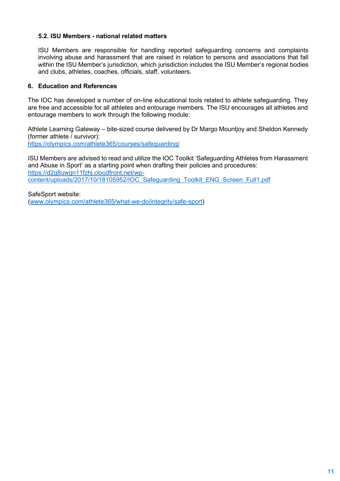#### <span id="page-10-0"></span>**5.2. ISU Members - national related matters**

ISU Members are responsible for handling reported safeguarding concerns and complaints involving abuse and harassment that are raised in relation to persons and associations that fall within the ISU Member's jurisdiction, which jurisdiction includes the ISU Member's regional bodies and clubs, athletes, coaches, officials, staff, volunteers.

#### <span id="page-10-1"></span>**6. Education and References**

The IOC has developed a number of on-line educational tools related to athlete safeguarding. They are free and accessible for all athletes and entourage members. The ISU encourages all athletes and entourage members to work through the following module:

Athlete Learning Gateway – bite-sized course delivered by Dr Margo Mountjoy and Sheldon Kennedy (former athlete / survivor): <https://olympics.com/athlete365/courses/safeguarding/>

ISU Members are advised to read and utilize the IOC Toolkit 'Safeguarding Athletes from Harassment and Abuse in Sport' as a starting point when drafting their policies and procedures: [https://d2g8uwgn11fzhj.cloudfront.net/wp-](https://d2g8uwgn11fzhj.cloudfront.net/wp-content/uploads/2017/10/18105952/IOC_Safeguarding_Toolkit_ENG_Screen_Full1.pdf)

[content/uploads/2017/10/18105952/IOC\\_Safeguarding\\_Toolkit\\_ENG\\_Screen\\_Full1.pdf](https://d2g8uwgn11fzhj.cloudfront.net/wp-content/uploads/2017/10/18105952/IOC_Safeguarding_Toolkit_ENG_Screen_Full1.pdf) 

<span id="page-10-2"></span>SafeSport website: [\(www.olympics.com/athlete365/what-we-do/integrity/safe-sport\)](http://www.olympics.com/athlete365/what-we-do/integrity/safe-sport)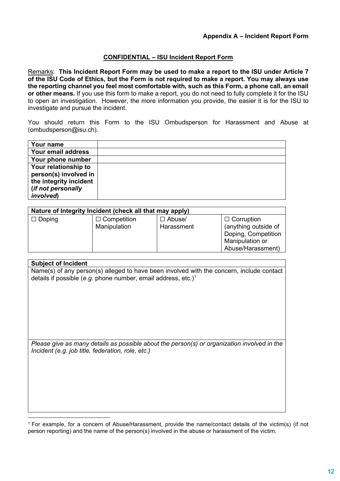#### **CONFIDENTIAL – ISU Incident Report Form**

Remarks: **This Incident Report Form may be used to make a report to the ISU under Article 7 of the ISU Code of Ethics, but the Form is not required to make a report. You may always use the reporting channel you feel most comfortable with, such as this Form, a phone call, an email or other means.** If you use this form to make a report, you do not need to fully complete it for the ISU to open an investigation. However, the more information you provide, the easier it is for the ISU to investigate and pursue the incident.

You should return this Form to the ISU Ombudsperson for Harassment and Abuse at (ombudsperson@isu.ch).

| Your name              |  |
|------------------------|--|
| Your email address     |  |
| Your phone number      |  |
| Your relationship to   |  |
| person(s) involved in  |  |
| the integrity incident |  |
| (if not personally     |  |
| involved)              |  |

| Nature of Integrity Incident (check all that may apply) |                    |               |                                                                                     |  |  |
|---------------------------------------------------------|--------------------|---------------|-------------------------------------------------------------------------------------|--|--|
| $\Box$ Doping                                           | $\Box$ Competition | $\Box$ Abuse/ | $\Box$ Corruption                                                                   |  |  |
|                                                         | Manipulation       | Harassment    | (anything outside of<br>Doping, Competition<br>Manipulation or<br>Abuse/Harassment) |  |  |

#### **Subject of Incident**

Name(s) of any person(s) alleged to have been involved with the concern, include contact details if possible (*e.g.* phone number, email address, etc.)[1](#page-11-0)

*Please give as many details as possible about the person(s) or organization involved in the Incident (e.g. job title, federation, role, etc.)*

<span id="page-11-0"></span><sup>1</sup> For example, for a concern of Abuse/Harassment, provide the name/contact details of the victim(s) (if not person reporting) and the name of the person(s) involved in the abuse or harassment of the victim.